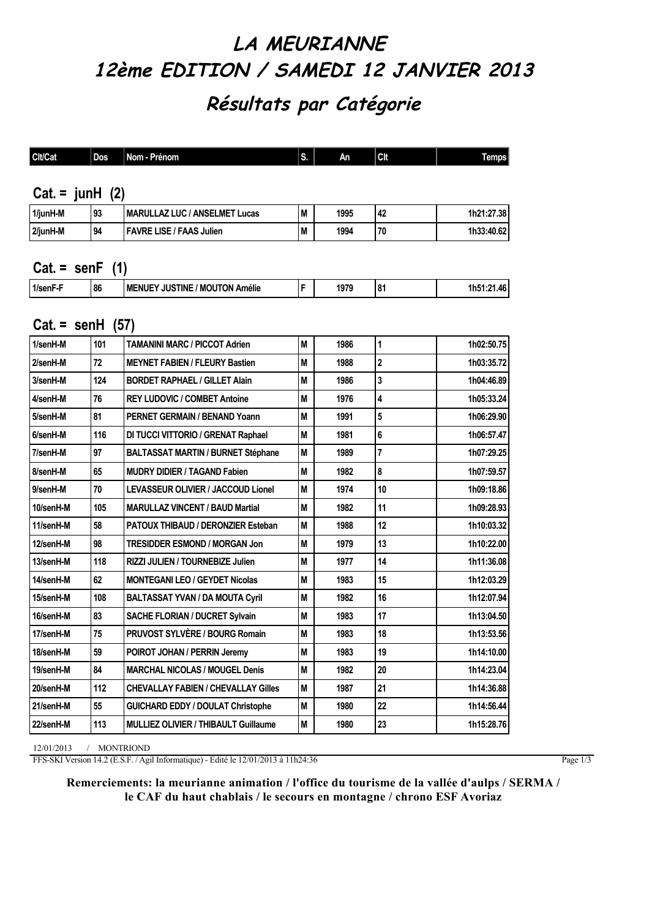## **LA MEURIANNE 12ème EDITION / SAMEDI 12 JANVIER 2013 Résultats par Catégorie**

| <b>Clt/Cat</b>            | Dos                      | Nom - Prénom                               | S. | An   | Clt          | <b>Temps</b> |  |  |  |
|---------------------------|--------------------------|--------------------------------------------|----|------|--------------|--------------|--|--|--|
|                           |                          |                                            |    |      |              |              |  |  |  |
| Cat. = $junk$ (2)         |                          |                                            |    |      |              |              |  |  |  |
| 1/junH-M                  | 93                       | <b>MARULLAZ LUC / ANSELMET Lucas</b>       | M  | 1995 | 42           | 1h21:27.38   |  |  |  |
| 2/junH-M                  | 94                       | <b>FAVRE LISE / FAAS Julien</b>            | M  | 1994 | 70           | 1h33:40.62   |  |  |  |
|                           |                          |                                            |    |      |              |              |  |  |  |
|                           | Cat. = $\text{senF}$ (1) |                                            |    |      |              |              |  |  |  |
| 1/senF-F                  | 86                       | <b>MENUEY JUSTINE / MOUTON Amélie</b>      | F  | 1979 | 81           | 1h51:21.46   |  |  |  |
|                           |                          |                                            |    |      |              |              |  |  |  |
| Cat. = $\text{senH}$ (57) |                          |                                            |    |      |              |              |  |  |  |
| 1/senH-M                  | 101                      | <b>TAMANINI MARC / PICCOT Adrien</b>       | M  | 1986 | 1            | 1h02:50.75   |  |  |  |
| 2/senH-M                  | 72                       | <b>MEYNET FABIEN / FLEURY Bastien</b>      | M  | 1988 | $\mathbf{2}$ | 1h03:35.72   |  |  |  |
| 3/senH-M                  | 124                      | <b>BORDET RAPHAEL / GILLET Alain</b>       | M  | 1986 | 3            | 1h04:46.89   |  |  |  |
| 4/senH-M                  | 76                       | <b>REY LUDOVIC / COMBET Antoine</b>        | M  | 1976 | 4            | 1h05:33.24   |  |  |  |
| 5/senH-M                  | 81                       | PERNET GERMAIN / BENAND Yoann              | M  | 1991 | 5            | 1h06:29.90   |  |  |  |
| 6/senH-M                  | 116                      | DI TUCCI VITTORIO / GRENAT Raphael         | M  | 1981 | 6            | 1h06:57.47   |  |  |  |
| 7/senH-M                  | 97                       | <b>BALTASSAT MARTIN / BURNET Stéphane</b>  | M  | 1989 | 7            | 1h07:29.25   |  |  |  |
| 8/senH-M                  | 65                       | <b>MUDRY DIDIER / TAGAND Fabien</b>        | M  | 1982 | 8            | 1h07:59.57   |  |  |  |
| 9/senH-M                  | 70                       | LEVASSEUR OLIVIER / JACCOUD Lionel         | M  | 1974 | 10           | 1h09:18.86   |  |  |  |
| 10/senH-M                 | 105                      | <b>MARULLAZ VINCENT / BAUD Martial</b>     | M  | 1982 | 11           | 1h09:28.93   |  |  |  |
| 11/senH-M                 | 58                       | <b>PATOUX THIBAUD / DERONZIER Esteban</b>  | M  | 1988 | 12           | 1h10:03.32   |  |  |  |
| 12/senH-M                 | 98                       | <b>TRESIDDER ESMOND / MORGAN Jon</b>       | M  | 1979 | 13           | 1h10:22.00   |  |  |  |
| 13/senH-M                 | 118                      | RIZZI JULIEN / TOURNEBIZE Julien           | M  | 1977 | 14           | 1h11:36.08   |  |  |  |
| 14/senH-M                 | 62                       | <b>MONTEGANI LEO / GEYDET Nicolas</b>      | M  | 1983 | 15           | 1h12:03.29   |  |  |  |
| 15/senH-M                 | 108                      | <b>BALTASSAT YVAN / DA MOUTA Cyril</b>     | M  | 1982 | 16           | 1h12:07.94   |  |  |  |
| 16/senH-M                 | 83                       | <b>SACHE FLORIAN / DUCRET Sylvain</b>      | M  | 1983 | 17           | 1h13:04.50   |  |  |  |
| 17/senH-M                 | 75                       | PRUVOST SYLVÈRE / BOURG Romain             | M  | 1983 | 18           | 1h13:53.56   |  |  |  |
| 18/senH-M                 | 59                       | POIROT JOHAN / PERRIN Jeremy               | M  | 1983 | 19           | 1h14:10.00   |  |  |  |
| 19/senH-M                 | 84                       | <b>MARCHAL NICOLAS / MOUGEL Denis</b>      | M  | 1982 | $20\,$       | 1h14:23.04   |  |  |  |
| 20/senH-M                 | 112                      | <b>CHEVALLAY FABIEN / CHEVALLAY Gilles</b> | M  | 1987 | 21           | 1h14:36.88   |  |  |  |
| 21/senH-M                 | 55                       | <b>GUICHARD EDDY / DOULAT Christophe</b>   | M  | 1980 | 22           | 1h14:56.44   |  |  |  |
| 22/senH-M                 | 113                      | MULLIEZ OLIVIER / THIBAULT Guillaume       | M  | 1980 | 23           | 1h15:28.76   |  |  |  |

12/01/2013 / MONTRIOND

FFS-SKI Version 14.2 (E.S.F. / Agil Informatique) - Edité le 12/01/2013 à 11h24:36

Page  $1/3$ 

**Remerciements: la meurianne animation / l'office du tourisme de la vallée d'aulps / SERMA / le CAF du haut chablais / le secours en montagne / chrono ESF Avoriaz**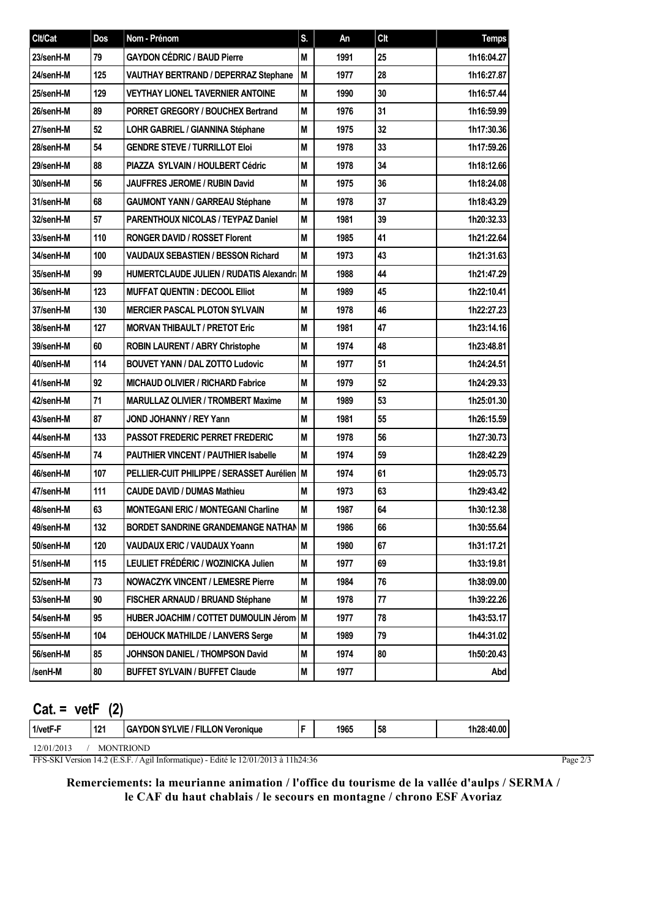| <b>Clt/Cat</b> | Dos | Nom - Prénom                                  | S. | An   | Clt    | <b>Temps</b> |
|----------------|-----|-----------------------------------------------|----|------|--------|--------------|
| 23/senH-M      | 79  | <b>GAYDON CÉDRIC / BAUD Pierre</b>            | M  | 1991 | 25     | 1h16:04.27   |
| 24/senH-M      | 125 | <b>VAUTHAY BERTRAND / DEPERRAZ Stephane</b>   | M  | 1977 | 28     | 1h16:27.87   |
| 25/senH-M      | 129 | <b>VEYTHAY LIONEL TAVERNIER ANTOINE</b>       | M  | 1990 | 30     | 1h16:57.44   |
| 26/senH-M      | 89  | <b>PORRET GREGORY / BOUCHEX Bertrand</b>      | M  | 1976 | 31     | 1h16:59.99   |
| 27/senH-M      | 52  | LOHR GABRIEL / GIANNINA Stéphane              | M  | 1975 | 32     | 1h17:30.36   |
| 28/senH-M      | 54  | <b>GENDRE STEVE / TURRILLOT Eloi</b>          | M  | 1978 | 33     | 1h17:59.26   |
| 29/senH-M      | 88  | PIAZZA SYLVAIN / HOULBERT Cédric              | M  | 1978 | 34     | 1h18:12.66   |
| 30/senH-M      | 56  | <b>JAUFFRES JEROME / RUBIN David</b>          | M  | 1975 | 36     | 1h18:24.08   |
| 31/senH-M      | 68  | <b>GAUMONT YANN / GARREAU Stéphane</b>        | M  | 1978 | 37     | 1h18:43.29   |
| 32/senH-M      | 57  | <b>PARENTHOUX NICOLAS / TEYPAZ Daniel</b>     | M  | 1981 | 39     | 1h20:32.33   |
| 33/senH-M      | 110 | <b>RONGER DAVID / ROSSET Florent</b>          | M  | 1985 | 41     | 1h21:22.64   |
| 34/senH-M      | 100 | <b>VAUDAUX SEBASTIEN / BESSON Richard</b>     | M  | 1973 | 43     | 1h21:31.63   |
| 35/senH-M      | 99  | HUMERTCLAUDE JULIEN / RUDATIS Alexandr   M    |    | 1988 | 44     | 1h21:47.29   |
| 36/senH-M      | 123 | <b>MUFFAT QUENTIN : DECOOL Elliot</b>         | M  | 1989 | 45     | 1h22:10.41   |
| 37/senH-M      | 130 | <b>MERCIER PASCAL PLOTON SYLVAIN</b>          | M  | 1978 | 46     | 1h22:27.23   |
| 38/senH-M      | 127 | <b>MORVAN THIBAULT / PRETOT Eric</b>          | M  | 1981 | 47     | 1h23:14.16   |
| 39/senH-M      | 60  | <b>ROBIN LAURENT / ABRY Christophe</b>        | M  | 1974 | 48     | 1h23:48.81   |
| 40/senH-M      | 114 | <b>BOUVET YANN / DAL ZOTTO Ludovic</b>        | M  | 1977 | 51     | 1h24:24.51   |
| 41/senH-M      | 92  | <b>MICHAUD OLIVIER / RICHARD Fabrice</b>      | M  | 1979 | 52     | 1h24:29.33   |
| 42/senH-M      | 71  | <b>MARULLAZ OLIVIER / TROMBERT Maxime</b>     | M  | 1989 | 53     | 1h25:01.30   |
| 43/senH-M      | 87  | <b>JOND JOHANNY / REY Yann</b>                | M  | 1981 | 55     | 1h26:15.59   |
| 44/senH-M      | 133 | <b>PASSOT FREDERIC PERRET FREDERIC</b>        | M  | 1978 | 56     | 1h27:30.73   |
| 45/senH-M      | 74  | <b>PAUTHIER VINCENT / PAUTHIER Isabelle</b>   | M  | 1974 | 59     | 1h28:42.29   |
| 46/senH-M      | 107 | PELLIER-CUIT PHILIPPE / SERASSET Aurélien   M |    | 1974 | 61     | 1h29:05.73   |
| 47/senH-M      | 111 | <b>CAUDE DAVID / DUMAS Mathieu</b>            | M  | 1973 | 63     | 1h29:43.42   |
| 48/senH-M      | 63  | <b>MONTEGANI ERIC / MONTEGANI Charline</b>    | M  | 1987 | 64     | 1h30:12.38   |
| 49/senH-M      | 132 | BORDET SANDRINE GRANDEMANGE NATHAN M          |    | 1986 | 66     | 1h30:55.64   |
| 50/senH-M      | 120 | VAUDAUX ERIC / VAUDAUX Yoann                  | M  | 1980 | 67     | 1h31:17.21   |
| 51/senH-M      | 115 | LEULIET FRÉDÉRIC / WOZINICKA Julien           | M  | 1977 | 69     | 1h33:19.81   |
| 52/senH-M      | 73  | <b>NOWACZYK VINCENT / LEMESRE Pierre</b>      | M  | 1984 | 76     | 1h38:09.00   |
| 53/senH-M      | 90  | FISCHER ARNAUD / BRUAND Stéphane              | M  | 1978 | $77\,$ | 1h39:22.26   |
| 54/senH-M      | 95  | HUBER JOACHIM / COTTET DUMOULIN Jérom   M     |    | 1977 | 78     | 1h43:53.17   |
| 55/senH-M      | 104 | <b>DEHOUCK MATHILDE / LANVERS Serge</b>       | M  | 1989 | 79     | 1h44:31.02   |
| 56/senH-M      | 85  | JOHNSON DANIEL / THOMPSON David               | Μ  | 1974 | 80     | 1h50:20.43   |
| /senH-M        | 80  | <b>BUFFET SYLVAIN / BUFFET Claude</b>         | M  | 1977 |        | Abd          |

| $Cat = vetF$ |     |                                         |  |      |    |            |  |
|--------------|-----|-----------------------------------------|--|------|----|------------|--|
| 1/vetF-F     | 121 | <b>GAYDON SYLVIE / FILLON Veronique</b> |  | 1965 | 58 | 1h28:40.00 |  |

12/01/2013 / MONTRIOND

FFS-SKI Version 14.2 (E.S.F. / Agil Informatique) - Edité le 12/01/2013 à 11h24:36

**Remerciements: la meurianne animation / l'office du tourisme de la vallée d'aulps / SERMA / le CAF du haut chablais / le secours en montagne / chrono ESF Avoriaz**

Page  $2/3$